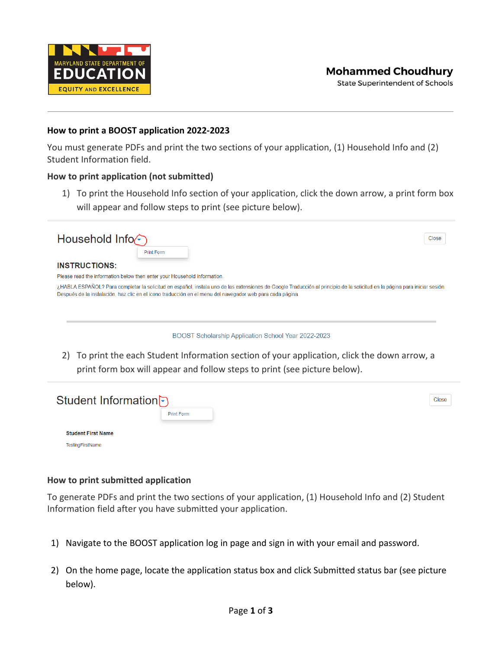

**State Superintendent of Schools** 

### **How to print a BOOST application 2022-2023**

You must generate PDFs and print the two sections of your application, (1) Household Info and (2) Student Information field.

## **How to print application (not submitted)**

1) To print the Household Info section of your application, click the down arrow, a print form box will appear and follow steps to print (see picture below).

| Household Info $\epsilon$<br>Print Form                                                                                                                                                                                                                                                                                                        | Close |
|------------------------------------------------------------------------------------------------------------------------------------------------------------------------------------------------------------------------------------------------------------------------------------------------------------------------------------------------|-------|
| <b>INSTRUCTIONS:</b>                                                                                                                                                                                                                                                                                                                           |       |
| Please read the information below then enter your Household information.                                                                                                                                                                                                                                                                       |       |
| ¿HABLA ESPAÑOL? Para completar la solicitud en español, instala uno de las extensiones de Google Traducción al principio de la solicitud en la página para iniciar sesión.<br>Después de la instalación, haz clic en el icono traducción en el menu del navegador web para cada página.<br>BOOST Scholarship Application School Year 2022-2023 |       |
| To print the each Student Information section of your application, click the down arrow, a<br>2)<br>print form box will appear and follow steps to print (see picture below).                                                                                                                                                                  |       |
|                                                                                                                                                                                                                                                                                                                                                |       |
| Student Information                                                                                                                                                                                                                                                                                                                            | Close |
| <b>Print Form</b>                                                                                                                                                                                                                                                                                                                              |       |

#### **How to print submitted application**

**Student First Name** TestingFirstName

To generate PDFs and print the two sections of your application, (1) Household Info and (2) Student Information field after you have submitted your application.

- 1) Navigate to the BOOST application log in page and sign in with your email and password.
- 2) On the home page, locate the application status box and click Submitted status bar (see picture below).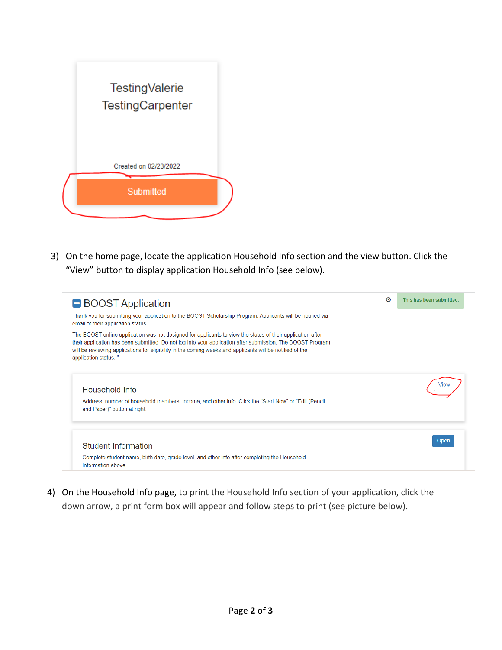

3) On the home page, locate the application Household Info section and the view button. Click the "View" button to display application Household Info (see below).



4) On the Household Info page, to print the Household Info section of your application, click the down arrow, a print form box will appear and follow steps to print (see picture below).